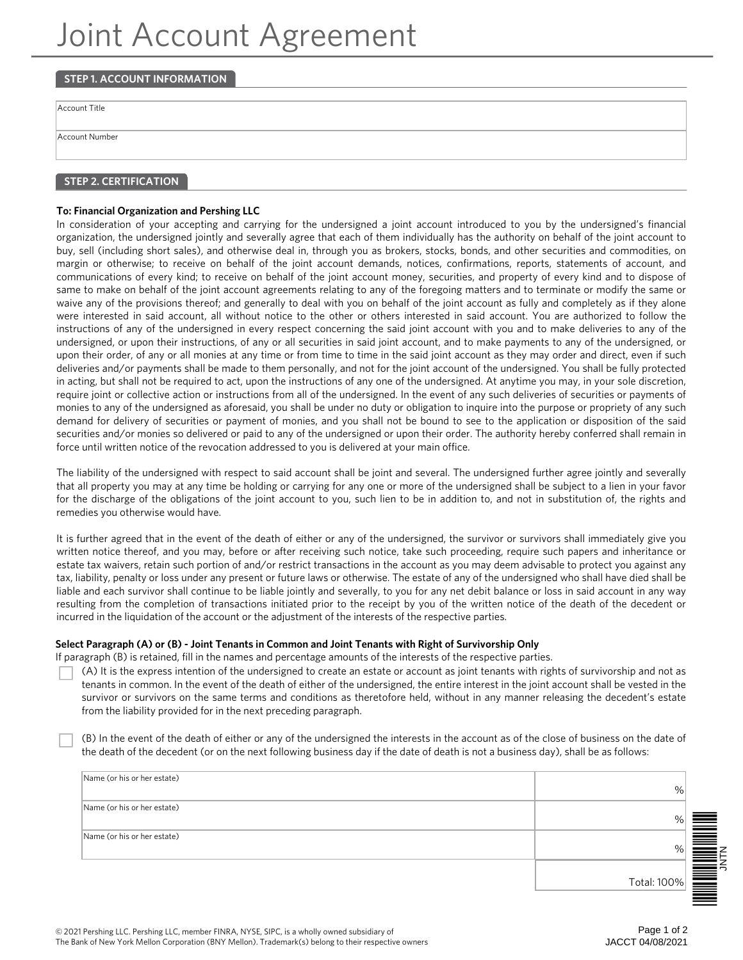# Joint Account Agreement

| <b>STEP 1. ACCOUNT INFORMATION</b> |  |
|------------------------------------|--|
|                                    |  |
| Account Title                      |  |
|                                    |  |
| Account Number                     |  |
| STEP 2. CERTIFICATION              |  |
|                                    |  |

## **To: Financial Organization and Pershing LLC**

In consideration of your accepting and carrying for the undersigned a joint account introduced to you by the undersigned's financial organization, the undersigned jointly and severally agree that each of them individually has the authority on behalf of the joint account to buy, sell (including short sales), and otherwise deal in, through you as brokers, stocks, bonds, and other securities and commodities, on margin or otherwise; to receive on behalf of the joint account demands, notices, confirmations, reports, statements of account, and communications of every kind; to receive on behalf of the joint account money, securities, and property of every kind and to dispose of same to make on behalf of the joint account agreements relating to any of the foregoing matters and to terminate or modify the same or waive any of the provisions thereof; and generally to deal with you on behalf of the joint account as fully and completely as if they alone were interested in said account, all without notice to the other or others interested in said account. You are authorized to follow the instructions of any of the undersigned in every respect concerning the said joint account with you and to make deliveries to any of the undersigned, or upon their instructions, of any or all securities in said joint account, and to make payments to any of the undersigned, or upon their order, of any or all monies at any time or from time to time in the said joint account as they may order and direct, even if such deliveries and/or payments shall be made to them personally, and not for the joint account of the undersigned. You shall be fully protected in acting, but shall not be required to act, upon the instructions of any one of the undersigned. At anytime you may, in your sole discretion, require joint or collective action or instructions from all of the undersigned. In the event of any such deliveries of securities or payments of monies to any of the undersigned as aforesaid, you shall be under no duty or obligation to inquire into the purpose or propriety of any such demand for delivery of securities or payment of monies, and you shall not be bound to see to the application or disposition of the said securities and/or monies so delivered or paid to any of the undersigned or upon their order. The authority hereby conferred shall remain in force until written notice of the revocation addressed to you is delivered at your main office.

The liability of the undersigned with respect to said account shall be joint and several. The undersigned further agree jointly and severally that all property you may at any time be holding or carrying for any one or more of the undersigned shall be subject to a lien in your favor for the discharge of the obligations of the joint account to you, such lien to be in addition to, and not in substitution of, the rights and remedies you otherwise would have.

It is further agreed that in the event of the death of either or any of the undersigned, the survivor or survivors shall immediately give you written notice thereof, and you may, before or after receiving such notice, take such proceeding, require such papers and inheritance or estate tax waivers, retain such portion of and/or restrict transactions in the account as you may deem advisable to protect you against any tax, liability, penalty or loss under any present or future laws or otherwise. The estate of any of the undersigned who shall have died shall be liable and each survivor shall continue to be liable jointly and severally, to you for any net debit balance or loss in said account in any way resulting from the completion of transactions initiated prior to the receipt by you of the written notice of the death of the decedent or incurred in the liquidation of the account or the adjustment of the interests of the respective parties.

## **Select Paragraph (A) or (B) - Joint Tenants in Common and Joint Tenants with Right of Survivorship Only**

If paragraph (B) is retained, fill in the names and percentage amounts of the interests of the respective parties.

(A) It is the express intention of the undersigned to create an estate or account as joint tenants with rights of survivorship and not as tenants in common. In the event of the death of either of the undersigned, the entire interest in the joint account shall be vested in the survivor or survivors on the same terms and conditions as theretofore held, without in any manner releasing the decedent's estate from the liability provided for in the next preceding paragraph.

(B) In the event of the death of either or any of the undersigned the interests in the account as of the close of business on the date of the death of the decedent (or on the next following business day if the date of death is not a business day), shall be as follows:

| Name (or his or her estate) |             |        |
|-----------------------------|-------------|--------|
|                             | %           |        |
| Name (or his or her estate) |             |        |
|                             | %           |        |
| Name (or his or her estate) |             | ═<br>═ |
|                             | $\%$        |        |
|                             |             |        |
|                             | Total: 100% |        |